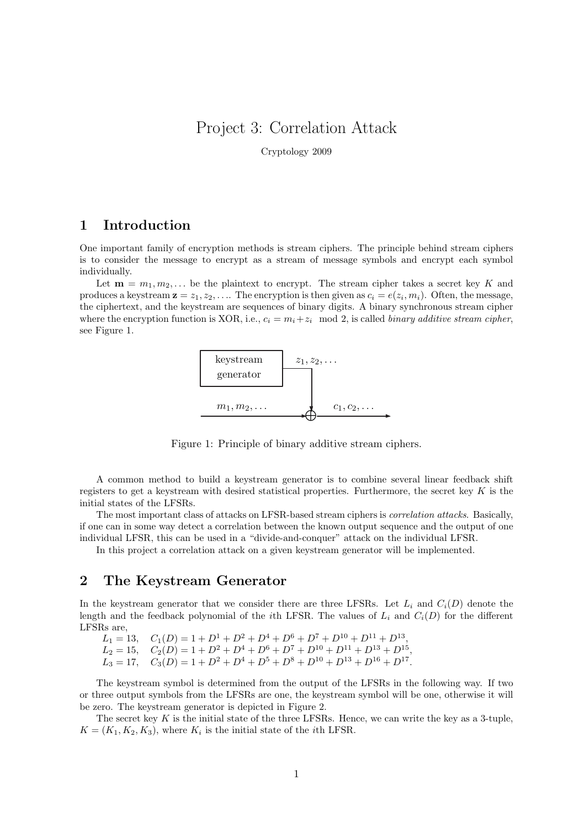# Project 3: Correlation Attack

Cryptology 2009

### 1 Introduction

One important family of encryption methods is stream ciphers. The principle behind stream ciphers is to consider the message to encrypt as a stream of message symbols and encrypt each symbol individually.

Let  $\mathbf{m} = m_1, m_2, \dots$  be the plaintext to encrypt. The stream cipher takes a secret key K and produces a keystream  $z = z_1, z_2, \ldots$  The encryption is then given as  $c_i = e(z_i, m_i)$ . Often, the message, the ciphertext, and the keystream are sequences of binary digits. A binary synchronous stream cipher where the encryption function is XOR, i.e.,  $c_i = m_i + z_i \mod 2$ , is called *binary additive stream cipher*, see Figure 1.



Figure 1: Principle of binary additive stream ciphers.

A common method to build a keystream generator is to combine several linear feedback shift registers to get a keystream with desired statistical properties. Furthermore, the secret key  $K$  is the initial states of the LFSRs.

The most important class of attacks on LFSR-based stream ciphers is correlation attacks. Basically, if one can in some way detect a correlation between the known output sequence and the output of one individual LFSR, this can be used in a "divide-and-conquer" attack on the individual LFSR.

In this project a correlation attack on a given keystream generator will be implemented.

## 2 The Keystream Generator

In the keystream generator that we consider there are three LFSRs. Let  $L_i$  and  $C_i(D)$  denote the length and the feedback polynomial of the *i*th LFSR. The values of  $L_i$  and  $C_i(D)$  for the different LFSRs are,

 $L_1 = 13$ ,  $C_1(D) = 1 + D^1 + D^2 + D^4 + D^6 + D^7 + D^{10} + D^{11} + D^{13}$ ,  $L_2 = 15$ ,  $C_2(D) = 1 + D^2 + D^4 + D^6 + D^7 + D^{10} + D^{11} + D^{13} + D^{15}$ ,

 $L_3 = 17$ ,  $C_3(D) = 1 + D^2 + D^4 + D^5 + D^8 + D^{10} + D^{13} + D^{16} + D^{17}$ .

The keystream symbol is determined from the output of the LFSRs in the following way. If two or three output symbols from the LFSRs are one, the keystream symbol will be one, otherwise it will be zero. The keystream generator is depicted in Figure 2.

The secret key  $K$  is the initial state of the three LFSRs. Hence, we can write the key as a 3-tuple,  $K = (K_1, K_2, K_3)$ , where  $K_i$  is the initial state of the *i*th LFSR.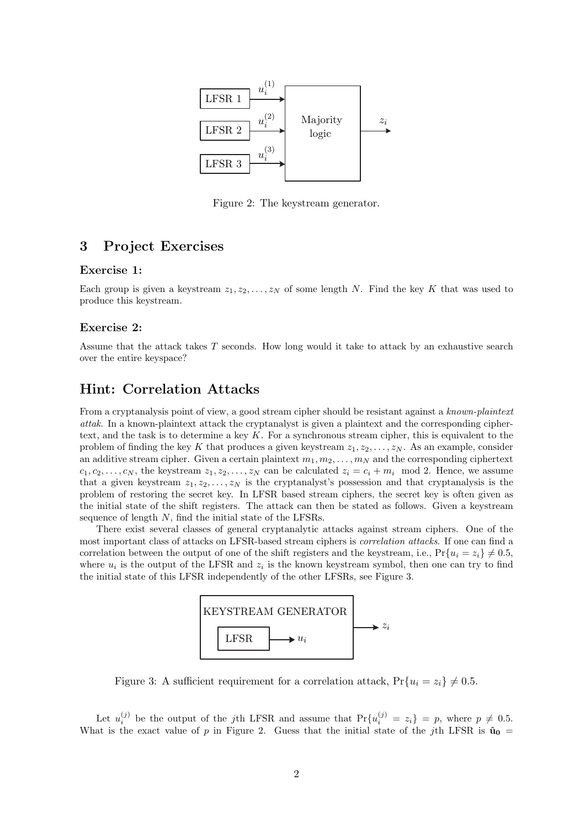

Figure 2: The keystream generator.

# 3 Project Exercises

#### Exercise 1:

Each group is given a keystream  $z_1, z_2, \ldots, z_N$  of some length N. Find the key K that was used to produce this keystream.

#### Exercise 2:

Assume that the attack takes T seconds. How long would it take to attack by an exhaustive search over the entire keyspace?

### Hint: Correlation Attacks

From a cryptanalysis point of view, a good stream cipher should be resistant against a known-plaintext attak. In a known-plaintext attack the cryptanalyst is given a plaintext and the corresponding ciphertext, and the task is to determine a key  $K$ . For a synchronous stream cipher, this is equivalent to the problem of finding the key K that produces a given keystream  $z_1, z_2, \ldots, z_N$ . As an example, consider an additive stream cipher. Given a certain plaintext  $m_1, m_2, \ldots, m_N$  and the corresponding ciphertext  $c_1, c_2, \ldots, c_N$ , the keystream  $z_1, z_2, \ldots, z_N$  can be calculated  $z_i = c_i + m_i \mod 2$ . Hence, we assume that a given keystream  $z_1, z_2, \ldots, z_N$  is the cryptanalyst's possession and that cryptanalysis is the problem of restoring the secret key. In LFSR based stream ciphers, the secret key is often given as the initial state of the shift registers. The attack can then be stated as follows. Given a keystream sequence of length N, find the initial state of the LFSRs.

There exist several classes of general cryptanalytic attacks against stream ciphers. One of the most important class of attacks on LFSR-based stream ciphers is correlation attacks. If one can find a correlation between the output of one of the shift registers and the keystream, i.e.,  $Pr{u_i = z_i} \neq 0.5$ , where  $u_i$  is the output of the LFSR and  $z_i$  is the known keystream symbol, then one can try to find the initial state of this LFSR independently of the other LFSRs, see Figure 3.



Figure 3: A sufficient requirement for a correlation attack,  $Pr{u_i = z_i} \neq 0.5$ .

Let  $u_i^{(j)}$  be the output of the jth LFSR and assume that  $Pr{u_i^{(j)} = z_i} = p$ , where  $p \neq 0.5$ . What is the exact value of p in Figure 2. Guess that the initial state of the jth LFSR is  $\hat{u}_0$  =